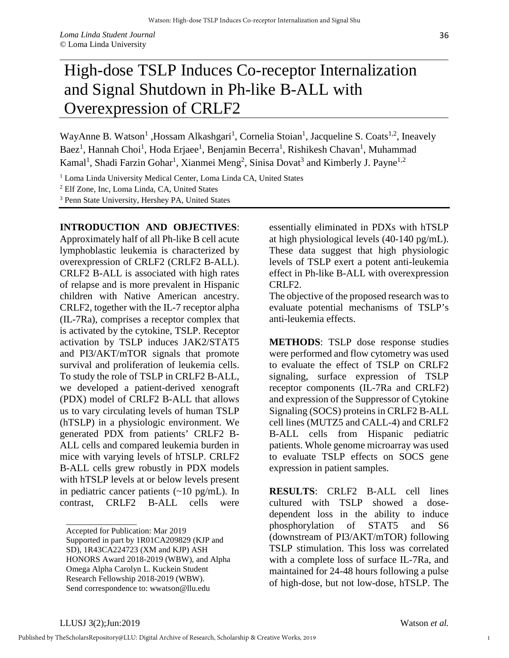## High-dose TSLP Induces Co-receptor Internalization and Signal Shutdown in Ph-like B-ALL with Overexpression of CRLF2

WayAnne B. Watson<sup>1</sup>, Hossam Alkashgari<sup>1</sup>, Cornelia Stoian<sup>1</sup>, Jacqueline S. Coats<sup>1,2</sup>, Ineavely Baez<sup>1</sup>, Hannah Choi<sup>1</sup>, Hoda Erjaee<sup>1</sup>, Benjamin Becerra<sup>1</sup>, Rishikesh Chavan<sup>1</sup>, Muhammad Kamal<sup>1</sup>, Shadi Farzin Gohar<sup>1</sup>, Xianmei Meng<sup>2</sup>, Sinisa Dovat<sup>3</sup> and Kimberly J. Payne<sup>1,2</sup>

<sup>1</sup> Loma Linda University Medical Center, Loma Linda CA, United States

<sup>2</sup> Elf Zone, Inc, Loma Linda, CA, United States

<sup>3</sup> Penn State University, Hershey PA, United States

## **INTRODUCTION AND OBJECTIVES**:

Approximately half of all Ph-like B cell acute lymphoblastic leukemia is characterized by overexpression of CRLF2 (CRLF2 B-ALL). CRLF2 B-ALL is associated with high rates of relapse and is more prevalent in Hispanic children with Native American ancestry. CRLF2, together with the IL-7 receptor alpha (IL-7Ra), comprises a receptor complex that is activated by the cytokine, TSLP. Receptor activation by TSLP induces JAK2/STAT5 and PI3/AKT/mTOR signals that promote survival and proliferation of leukemia cells. To study the role of TSLP in CRLF2 B-ALL, we developed a patient-derived xenograft (PDX) model of CRLF2 B-ALL that allows us to vary circulating levels of human TSLP (hTSLP) in a physiologic environment. We generated PDX from patients' CRLF2 B-ALL cells and compared leukemia burden in mice with varying levels of hTSLP. CRLF2 B-ALL cells grew robustly in PDX models with hTSLP levels at or below levels present in pediatric cancer patients  $(\sim 10 \text{ pg/mL})$ . In contrast, CRLF2 B-ALL cells were

essentially eliminated in PDXs with hTSLP at high physiological levels (40-140 pg/mL). These data suggest that high physiologic levels of TSLP exert a potent anti-leukemia effect in Ph-like B-ALL with overexpression CRLF2.

The objective of the proposed research was to evaluate potential mechanisms of TSLP's anti-leukemia effects.

**METHODS**: TSLP dose response studies were performed and flow cytometry was used to evaluate the effect of TSLP on CRLF2 signaling, surface expression of TSLP receptor components (IL-7Ra and CRLF2) and expression of the Suppressor of Cytokine Signaling (SOCS) proteins in CRLF2 B-ALL cell lines (MUTZ5 and CALL-4) and CRLF2 B-ALL cells from Hispanic pediatric patients. Whole genome microarray was used to evaluate TSLP effects on SOCS gene expression in patient samples.

**RESULTS**: CRLF2 B-ALL cell lines cultured with TSLP showed a dosedependent loss in the ability to induce phosphorylation of STAT5 and S6 (downstream of PI3/AKT/mTOR) following TSLP stimulation. This loss was correlated with a complete loss of surface IL-7Ra, and maintained for 24-48 hours following a pulse of high-dose, but not low-dose, hTSLP. The

\_\_\_\_\_\_\_\_\_\_\_\_\_\_\_\_\_

1

Accepted for Publication: Mar 2019

Supported in part by 1R01CA209829 (KJP and SD), 1R43CA224723 (XM and KJP) ASH HONORS Award 2018-2019 (WBW), and Alpha Omega Alpha Carolyn L. Kuckein Student Research Fellowship 2018-2019 (WBW). Send correspondence to: wwatson@llu.edu